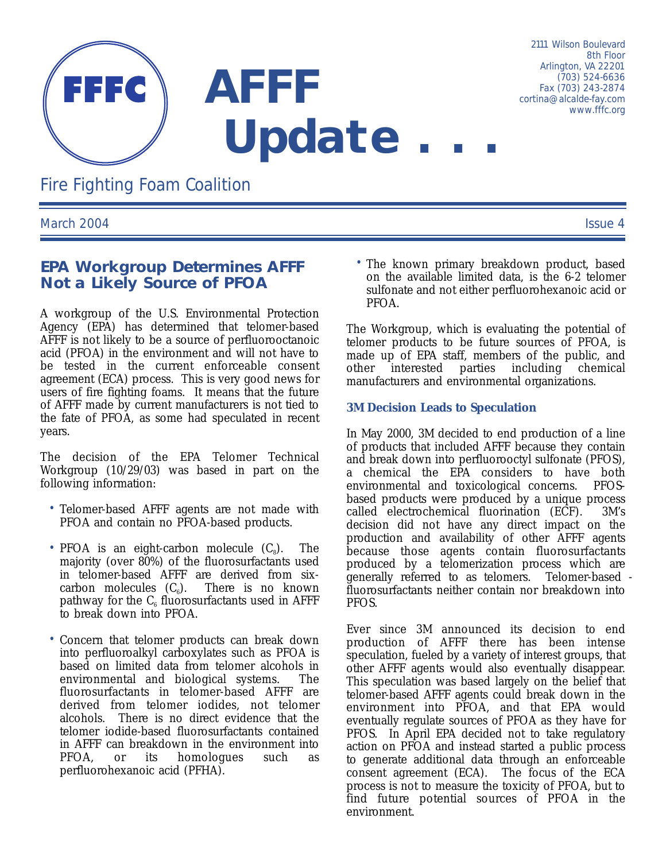

*Fire Fighting Foam Coalition*

*March 2004 Issue 4*

# **EPA Workgroup Determines AFFF Not a Likely Source of PFOA**

A workgroup of the U.S. Environmental Protection Agency (EPA) has determined that telomer-based AFFF is not likely to be a source of perfluorooctanoic acid (PFOA) in the environment and will not have to be tested in the current enforceable consent agreement (ECA) process. This is very good news for users of fire fighting foams. It means that the future of AFFF made by current manufacturers is not tied to the fate of PFOA, as some had speculated in recent years.

The decision of the EPA Telomer Technical Workgroup (10/29/03) was based in part on the following information:

- Telomer-based AFFF agents are not made with PFOA and contain no PFOA-based products.
- PFOA is an eight-carbon molecule  $(C_8)$ . The majority (over 80%) of the fluorosurfactants used in telomer-based AFFF are derived from sixcarbon molecules  $(C_6)$ . There is no known pathway for the  $C_6$  fluorosurfactants used in AFFF to break down into PFOA.
- Concern that telomer products can break down into perfluoroalkyl carboxylates such as PFOA is based on limited data from telomer alcohols in environmental and biological systems. The fluorosurfactants in telomer-based AFFF are derived from telomer iodides, not telomer alcohols. There is no direct evidence that the telomer iodide-based fluorosurfactants contained in AFFF can breakdown in the environment into PFOA, or its homologues such as perfluorohexanoic acid (PFHA).

• The known primary breakdown product, based on the available limited data, is the 6-2 telomer sulfonate and not either perfluorohexanoic acid or PFOA.

The Workgroup, which is evaluating the potential of telomer products to be future sources of PFOA, is made up of EPA staff, members of the public, and other interested parties including chemical manufacturers and environmental organizations.

### **3M Decision Leads to Speculation**

In May 2000, 3M decided to end production of a line of products that included AFFF because they contain and break down into perfluorooctyl sulfonate (PFOS), a chemical the EPA considers to have both environmental and toxicological concerns. PFOSbased products were produced by a unique process called electrochemical fluorination (ECF). 3M's decision did not have any direct impact on the production and availability of other AFFF agents because those agents contain fluorosurfactants produced by a telomerization process which are generally referred to as telomers. Telomer-based fluorosurfactants neither contain nor breakdown into PFOS.

Ever since 3M announced its decision to end production of AFFF there has been intense speculation, fueled by a variety of interest groups, that other AFFF agents would also eventually disappear. This speculation was based largely on the belief that telomer-based AFFF agents could break down in the environment into PFOA, and that EPA would eventually regulate sources of PFOA as they have for PFOS. In April EPA decided not to take regulatory action on PFOA and instead started a public process to generate additional data through an enforceable consent agreement (ECA). The focus of the ECA process is not to measure the toxicity of PFOA, but to find future potential sources of PFOA in the environment.